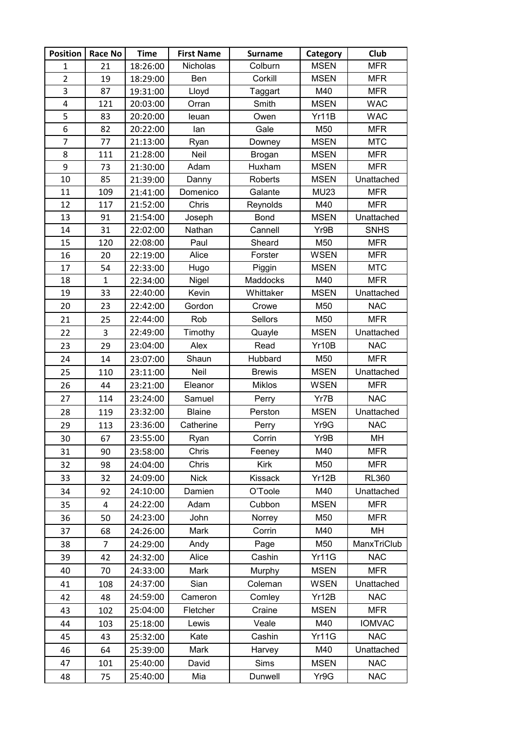| <b>Position</b> | <b>Race No</b> | <b>Time</b> | <b>First Name</b> | <b>Surname</b> | Category     | Club          |
|-----------------|----------------|-------------|-------------------|----------------|--------------|---------------|
| 1               | 21             | 18:26:00    | Nicholas          | Colburn        | <b>MSEN</b>  | <b>MFR</b>    |
| $\overline{2}$  | 19             | 18:29:00    | Ben               | Corkill        | <b>MSEN</b>  | <b>MFR</b>    |
| 3               | 87             | 19:31:00    | Lloyd             | Taggart        | M40          | <b>MFR</b>    |
| 4               | 121            | 20:03:00    | Orran             | Smith          | <b>MSEN</b>  | <b>WAC</b>    |
| 5               | 83             | 20:20:00    | leuan             | Owen           | Yr11B        | <b>WAC</b>    |
| 6               | 82             | 20:22:00    | lan               | Gale           | M50          | <b>MFR</b>    |
| $\overline{7}$  | 77             | 21:13:00    | Ryan              | Downey         | <b>MSEN</b>  | <b>MTC</b>    |
| 8               | 111            | 21:28:00    | Neil              | Brogan         | <b>MSEN</b>  | <b>MFR</b>    |
| 9               | 73             | 21:30:00    | Adam              | Huxham         | <b>MSEN</b>  | <b>MFR</b>    |
| 10              | 85             | 21:39:00    | Danny             | Roberts        | <b>MSEN</b>  | Unattached    |
| 11              | 109            | 21:41:00    | Domenico          | Galante        | <b>MU23</b>  | <b>MFR</b>    |
| 12              | 117            | 21:52:00    | Chris             | Reynolds       | M40          | <b>MFR</b>    |
| 13              | 91             | 21:54:00    | Joseph            | <b>Bond</b>    | <b>MSEN</b>  | Unattached    |
| 14              | 31             | 22:02:00    | Nathan            | Cannell        | Yr9B         | <b>SNHS</b>   |
| 15              | 120            | 22:08:00    | Paul              | Sheard         | M50          | <b>MFR</b>    |
| 16              | 20             | 22:19:00    | Alice             | Forster        | <b>WSEN</b>  | <b>MFR</b>    |
| 17              | 54             | 22:33:00    | Hugo              | Piggin         | <b>MSEN</b>  | <b>MTC</b>    |
| 18              | $\mathbf{1}$   | 22:34:00    | Nigel             | Maddocks       | M40          | <b>MFR</b>    |
| 19              | 33             | 22:40:00    | Kevin             | Whittaker      | <b>MSEN</b>  | Unattached    |
| 20              | 23             | 22:42:00    | Gordon            | Crowe          | M50          | <b>NAC</b>    |
| 21              | 25             | 22:44:00    | Rob               | Sellors        | M50          | <b>MFR</b>    |
| 22              | 3              | 22:49:00    | Timothy           | Quayle         | <b>MSEN</b>  | Unattached    |
| 23              | 29             | 23:04:00    | Alex              | Read           | Yr10B        | <b>NAC</b>    |
| 24              | 14             | 23:07:00    | Shaun             | Hubbard        | M50          | <b>MFR</b>    |
| 25              | 110            | 23:11:00    | Neil              | <b>Brewis</b>  | <b>MSEN</b>  | Unattached    |
| 26              | 44             | 23:21:00    | Eleanor           | <b>Miklos</b>  | <b>WSEN</b>  | <b>MFR</b>    |
| 27              | 114            | 23:24:00    | Samuel            | Perry          | Yr7B         | <b>NAC</b>    |
| 28              | 119            | 23:32:00    | <b>Blaine</b>     | Perston        | <b>MSEN</b>  | Unattached    |
| 29              | 113            | 23:36:00    | Catherine         | Perry          | Yr9G         | <b>NAC</b>    |
| 30              | 67             | 23:55:00    | Ryan              | Corrin         | Yr9B         | MН            |
| 31              | 90             | 23:58:00    | Chris             | Feeney         | M40          | <b>MFR</b>    |
| 32              | 98             | 24:04:00    | Chris             | <b>Kirk</b>    | M50          | <b>MFR</b>    |
| 33              | 32             | 24:09:00    | <b>Nick</b>       | Kissack        | Yr12B        | <b>RL360</b>  |
| 34              | 92             | 24:10:00    | Damien            | O'Toole        | M40          | Unattached    |
| 35              | 4              | 24:22:00    | Adam              | Cubbon         | <b>MSEN</b>  | <b>MFR</b>    |
| 36              | 50             | 24:23:00    | John              | Norrey         | M50          | <b>MFR</b>    |
| 37              | 68             | 24:26:00    | Mark              | Corrin         | M40          | MН            |
| 38              | $\overline{7}$ | 24:29:00    | Andy              | Page           | M50          | ManxTriClub   |
| 39              | 42             | 24:32:00    | Alice             | Cashin         | Yr11G        | <b>NAC</b>    |
| 40              | 70             | 24:33:00    | Mark              | Murphy         | <b>MSEN</b>  | <b>MFR</b>    |
| 41              | 108            | 24:37:00    | Sian              | Coleman        | <b>WSEN</b>  | Unattached    |
| 42              | 48             | 24:59:00    | Cameron           | Comley         | Yr12B        | <b>NAC</b>    |
| 43              | 102            | 25:04:00    | Fletcher          | Craine         | <b>MSEN</b>  | <b>MFR</b>    |
| 44              | 103            | 25:18:00    | Lewis             | Veale          | M40          | <b>IOMVAC</b> |
| 45              | 43             | 25:32:00    | Kate              | Cashin         | <b>Yr11G</b> | <b>NAC</b>    |
| 46              | 64             | 25:39:00    | Mark              | Harvey         | M40          | Unattached    |
| 47              | 101            | 25:40:00    | David             | Sims           | <b>MSEN</b>  | <b>NAC</b>    |
| 48              | 75             | 25:40:00    | Mia               | Dunwell        | Yr9G         | <b>NAC</b>    |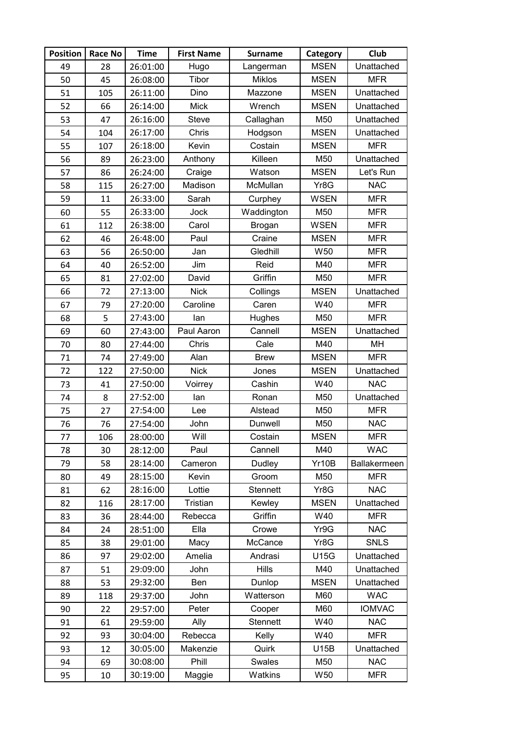| <b>Position</b> | <b>Race No</b> | <b>Time</b> | <b>First Name</b> | <b>Surname</b> | Category        | Club          |
|-----------------|----------------|-------------|-------------------|----------------|-----------------|---------------|
| 49              | 28             | 26:01:00    | Hugo              | Langerman      | <b>MSEN</b>     | Unattached    |
| 50              | 45             | 26:08:00    | Tibor             | <b>Miklos</b>  | <b>MSEN</b>     | <b>MFR</b>    |
| 51              | 105            | 26:11:00    | Dino              | Mazzone        | <b>MSEN</b>     | Unattached    |
| 52              | 66             | 26:14:00    | <b>Mick</b>       | Wrench         | <b>MSEN</b>     | Unattached    |
| 53              | 47             | 26:16:00    | Steve             | Callaghan      | M50             | Unattached    |
| 54              | 104            | 26:17:00    | Chris             | Hodgson        | <b>MSEN</b>     | Unattached    |
| 55              | 107            | 26:18:00    | Kevin             | Costain        | <b>MSEN</b>     | <b>MFR</b>    |
| 56              | 89             | 26:23:00    | Anthony           | Killeen        | M50             | Unattached    |
| 57              | 86             | 26:24:00    | Craige            | Watson         | <b>MSEN</b>     | Let's Run     |
| 58              | 115            | 26:27:00    | Madison           | McMullan       | Yr8G            | <b>NAC</b>    |
| 59              | 11             | 26:33:00    | Sarah             | Curphey        | <b>WSEN</b>     | <b>MFR</b>    |
| 60              | 55             | 26:33:00    | Jock              | Waddington     | M50             | <b>MFR</b>    |
| 61              | 112            | 26:38:00    | Carol             | Brogan         | <b>WSEN</b>     | <b>MFR</b>    |
| 62              | 46             | 26:48:00    | Paul              | Craine         | <b>MSEN</b>     | <b>MFR</b>    |
| 63              | 56             | 26:50:00    | Jan               | Gledhill       | W50             | <b>MFR</b>    |
| 64              | 40             | 26:52:00    | Jim               | Reid           | M40             | <b>MFR</b>    |
| 65              | 81             | 27:02:00    | David             | Griffin        | M50             | <b>MFR</b>    |
| 66              | 72             | 27:13:00    | <b>Nick</b>       | Collings       | <b>MSEN</b>     | Unattached    |
| 67              | 79             | 27:20:00    | Caroline          | Caren          | W40             | <b>MFR</b>    |
| 68              | 5              | 27:43:00    | lan               | Hughes         | M50             | <b>MFR</b>    |
| 69              | 60             | 27:43:00    | Paul Aaron        | Cannell        | <b>MSEN</b>     | Unattached    |
| 70              | 80             | 27:44:00    | Chris             | Cale           | M40             | MH            |
| 71              | 74             | 27:49:00    | Alan              | <b>Brew</b>    | <b>MSEN</b>     | <b>MFR</b>    |
| 72              | 122            | 27:50:00    | <b>Nick</b>       | Jones          | <b>MSEN</b>     | Unattached    |
| 73              | 41             | 27:50:00    | Voirrey           | Cashin         | W40             | <b>NAC</b>    |
| 74              | 8              | 27:52:00    | lan               | Ronan          | M50             | Unattached    |
| 75              | 27             | 27:54:00    | Lee               | Alstead        | M50             | <b>MFR</b>    |
| 76              | 76             | 27:54:00    | John              | Dunwell        | M50             | <b>NAC</b>    |
| 77              | 106            | 28:00:00    | Will              | Costain        | MSEN            | MFR.          |
| 78              | 30             | 28:12:00    | Paul              | Cannell        | M40             | <b>WAC</b>    |
| 79              | 58             | 28:14:00    | Cameron           | Dudley         | Yr10B           | Ballakermeen  |
| 80              | 49             | 28:15:00    | Kevin             | Groom          | M50             | <b>MFR</b>    |
| 81              | 62             | 28:16:00    | Lottie            | Stennett       | Yr8G            | <b>NAC</b>    |
| 82              | 116            | 28:17:00    | Tristian          | Kewley         | <b>MSEN</b>     | Unattached    |
| 83              | 36             | 28:44:00    | Rebecca           | Griffin        | W40             | <b>MFR</b>    |
| 84              | 24             | 28:51:00    | Ella              | Crowe          | Yr9G            | <b>NAC</b>    |
| 85              | 38             | 29:01:00    | Macy              | McCance        | Yr8G            | <b>SNLS</b>   |
| 86              | 97             | 29:02:00    | Amelia            | Andrasi        | <b>U15G</b>     | Unattached    |
| 87              | 51             | 29:09:00    | John              | <b>Hills</b>   | M40             | Unattached    |
| 88              | 53             | 29:32:00    | Ben               | Dunlop         | <b>MSEN</b>     | Unattached    |
| 89              | 118            | 29:37:00    | John              | Watterson      | M60             | <b>WAC</b>    |
| 90              | 22             | 29:57:00    | Peter             | Cooper         | M60             | <b>IOMVAC</b> |
| 91              | 61             | 29:59:00    | Ally              | Stennett       | W40             | <b>NAC</b>    |
| 92              | 93             | 30:04:00    | Rebecca           | Kelly          | W40             | <b>MFR</b>    |
| 93              | 12             | 30:05:00    | Makenzie          | Quirk          | U15B            | Unattached    |
| 94              | 69             | 30:08:00    | Phill             | Swales         | M50             | <b>NAC</b>    |
| 95              | 10             | 30:19:00    | Maggie            | Watkins        | W <sub>50</sub> | <b>MFR</b>    |